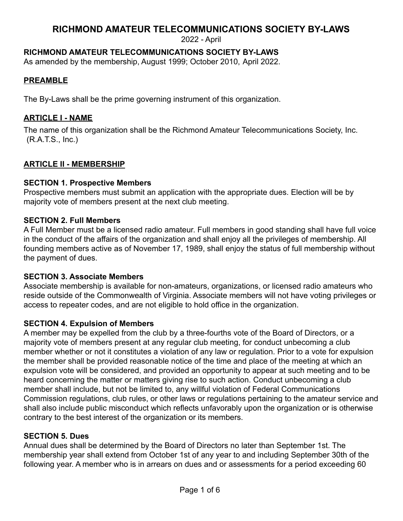2022 - April

# **RICHMOND AMATEUR TELECOMMUNICATIONS SOCIETY BY-LAWS**

As amended by the membership, August 1999; October 2010, April 2022.

## **PREAMBLE**

The By-Laws shall be the prime governing instrument of this organization.

## **ARTICLE I - NAME**

The name of this organization shall be the Richmond Amateur Telecommunications Society, Inc. (R.A.T.S., Inc.)

## **ARTICLE II - MEMBERSHIP**

## **SECTION 1. Prospective Members**

Prospective members must submit an application with the appropriate dues. Election will be by majority vote of members present at the next club meeting.

## **SECTION 2. Full Members**

A Full Member must be a licensed radio amateur. Full members in good standing shall have full voice in the conduct of the affairs of the organization and shall enjoy all the privileges of membership. All founding members active as of November 17, 1989, shall enjoy the status of full membership without the payment of dues.

## **SECTION 3. Associate Members**

Associate membership is available for non-amateurs, organizations, or licensed radio amateurs who reside outside of the Commonwealth of Virginia. Associate members will not have voting privileges or access to repeater codes, and are not eligible to hold office in the organization.

## **SECTION 4. Expulsion of Members**

A member may be expelled from the club by a three-fourths vote of the Board of Directors, or a majority vote of members present at any regular club meeting, for conduct unbecoming a club member whether or not it constitutes a violation of any law or regulation. Prior to a vote for expulsion the member shall be provided reasonable notice of the time and place of the meeting at which an expulsion vote will be considered, and provided an opportunity to appear at such meeting and to be heard concerning the matter or matters giving rise to such action. Conduct unbecoming a club member shall include, but not be limited to, any willful violation of Federal Communications Commission regulations, club rules, or other laws or regulations pertaining to the amateur service and shall also include public misconduct which reflects unfavorably upon the organization or is otherwise contrary to the best interest of the organization or its members.

## **SECTION 5. Dues**

Annual dues shall be determined by the Board of Directors no later than September 1st. The membership year shall extend from October 1st of any year to and including September 30th of the following year. A member who is in arrears on dues and or assessments for a period exceeding 60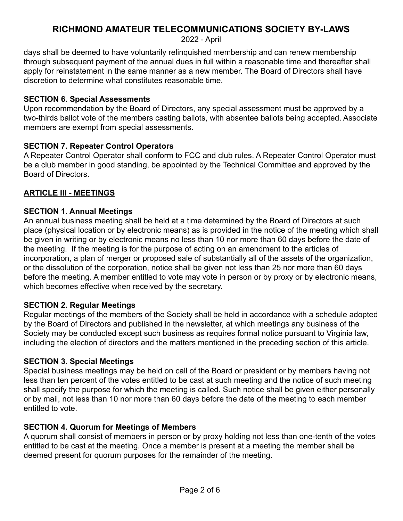2022 - April

days shall be deemed to have voluntarily relinquished membership and can renew membership through subsequent payment of the annual dues in full within a reasonable time and thereafter shall apply for reinstatement in the same manner as a new member. The Board of Directors shall have discretion to determine what constitutes reasonable time.

#### **SECTION 6. Special Assessments**

Upon recommendation by the Board of Directors, any special assessment must be approved by a two-thirds ballot vote of the members casting ballots, with absentee ballots being accepted. Associate members are exempt from special assessments.

#### **SECTION 7. Repeater Control Operators**

A Repeater Control Operator shall conform to FCC and club rules. A Repeater Control Operator must be a club member in good standing, be appointed by the Technical Committee and approved by the Board of Directors.

## **ARTICLE III - MEETINGS**

#### **SECTION 1. Annual Meetings**

An annual business meeting shall be held at a time determined by the Board of Directors at such place (physical location or by electronic means) as is provided in the notice of the meeting which shall be given in writing or by electronic means no less than 10 nor more than 60 days before the date of the meeting. If the meeting is for the purpose of acting on an amendment to the articles of incorporation, a plan of merger or proposed sale of substantially all of the assets of the organization, or the dissolution of the corporation, notice shall be given not less than 25 nor more than 60 days before the meeting. A member entitled to vote may vote in person or by proxy or by electronic means, which becomes effective when received by the secretary.

#### **SECTION 2. Regular Meetings**

Regular meetings of the members of the Society shall be held in accordance with a schedule adopted by the Board of Directors and published in the newsletter, at which meetings any business of the Society may be conducted except such business as requires formal notice pursuant to Virginia law, including the election of directors and the matters mentioned in the preceding section of this article.

#### **SECTION 3. Special Meetings**

Special business meetings may be held on call of the Board or president or by members having not less than ten percent of the votes entitled to be cast at such meeting and the notice of such meeting shall specify the purpose for which the meeting is called. Such notice shall be given either personally or by mail, not less than 10 nor more than 60 days before the date of the meeting to each member entitled to vote.

## **SECTION 4. Quorum for Meetings of Members**

A quorum shall consist of members in person or by proxy holding not less than one-tenth of the votes entitled to be cast at the meeting. Once a member is present at a meeting the member shall be deemed present for quorum purposes for the remainder of the meeting.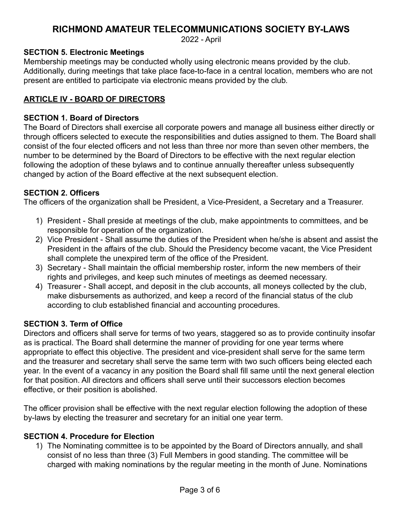2022 - April

## **SECTION 5. Electronic Meetings**

Membership meetings may be conducted wholly using electronic means provided by the club. Additionally, during meetings that take place face-to-face in a central location, members who are not present are entitled to participate via electronic means provided by the club*.*

## **ARTICLE IV - BOARD OF DIRECTORS**

#### **SECTION 1. Board of Directors**

The Board of Directors shall exercise all corporate powers and manage all business either directly or through officers selected to execute the responsibilities and duties assigned to them. The Board shall consist of the four elected officers and not less than three nor more than seven other members, the number to be determined by the Board of Directors to be effective with the next regular election following the adoption of these bylaws and to continue annually thereafter unless subsequently changed by action of the Board effective at the next subsequent election.

## **SECTION 2. Officers**

The officers of the organization shall be President, a Vice-President, a Secretary and a Treasurer.

- 1) President Shall preside at meetings of the club, make appointments to committees, and be responsible for operation of the organization.
- 2) Vice President Shall assume the duties of the President when he/she is absent and assist the President in the affairs of the club. Should the Presidency become vacant, the Vice President shall complete the unexpired term of the office of the President.
- 3) Secretary Shall maintain the official membership roster, inform the new members of their rights and privileges, and keep such minutes of meetings as deemed necessary.
- 4) Treasurer Shall accept, and deposit in the club accounts, all moneys collected by the club, make disbursements as authorized, and keep a record of the financial status of the club according to club established financial and accounting procedures.

#### **SECTION 3. Term of Office**

Directors and officers shall serve for terms of two years, staggered so as to provide continuity insofar as is practical. The Board shall determine the manner of providing for one year terms where appropriate to effect this objective. The president and vice-president shall serve for the same term and the treasurer and secretary shall serve the same term with two such officers being elected each year. In the event of a vacancy in any position the Board shall fill same until the next general election for that position. All directors and officers shall serve until their successors election becomes effective, or their position is abolished.

The officer provision shall be effective with the next regular election following the adoption of these by-laws by electing the treasurer and secretary for an initial one year term.

#### **SECTION 4. Procedure for Election**

1) The Nominating committee is to be appointed by the Board of Directors annually, and shall consist of no less than three (3) Full Members in good standing. The committee will be charged with making nominations by the regular meeting in the month of June. Nominations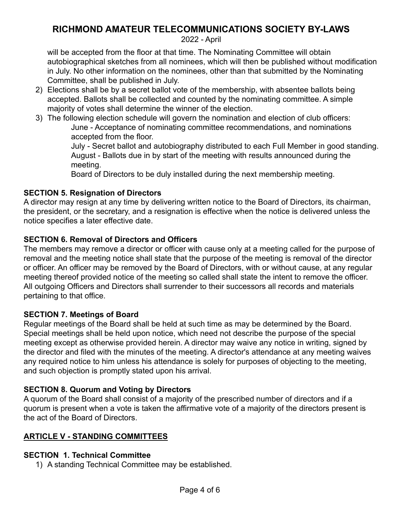2022 - April

will be accepted from the floor at that time. The Nominating Committee will obtain autobiographical sketches from all nominees, which will then be published without modification in July. No other information on the nominees, other than that submitted by the Nominating Committee, shall be published in July.

- 2) Elections shall be by a secret ballot vote of the membership, with absentee ballots being accepted. Ballots shall be collected and counted by the nominating committee. A simple majority of votes shall determine the winner of the election.
- 3) The following election schedule will govern the nomination and election of club officers: June - Acceptance of nominating committee recommendations, and nominations accepted from the floor.

July - Secret ballot and autobiography distributed to each Full Member in good standing. August - Ballots due in by start of the meeting with results announced during the meeting.

Board of Directors to be duly installed during the next membership meeting.

## **SECTION 5. Resignation of Directors**

A director may resign at any time by delivering written notice to the Board of Directors, its chairman, the president, or the secretary, and a resignation is effective when the notice is delivered unless the notice specifies a later effective date.

## **SECTION 6. Removal of Directors and Officers**

The members may remove a director or officer with cause only at a meeting called for the purpose of removal and the meeting notice shall state that the purpose of the meeting is removal of the director or officer. An officer may be removed by the Board of Directors, with or without cause, at any regular meeting thereof provided notice of the meeting so called shall state the intent to remove the officer. All outgoing Officers and Directors shall surrender to their successors all records and materials pertaining to that office.

## **SECTION 7. Meetings of Board**

Regular meetings of the Board shall be held at such time as may be determined by the Board. Special meetings shall be held upon notice, which need not describe the purpose of the special meeting except as otherwise provided herein. A director may waive any notice in writing, signed by the director and filed with the minutes of the meeting. A director's attendance at any meeting waives any required notice to him unless his attendance is solely for purposes of objecting to the meeting, and such objection is promptly stated upon his arrival.

## **SECTION 8. Quorum and Voting by Directors**

A quorum of the Board shall consist of a majority of the prescribed number of directors and if a quorum is present when a vote is taken the affirmative vote of a majority of the directors present is the act of the Board of Directors.

## **ARTICLE V - STANDING COMMITTEES**

# **SECTION 1. Technical Committee**

1) A standing Technical Committee may be established.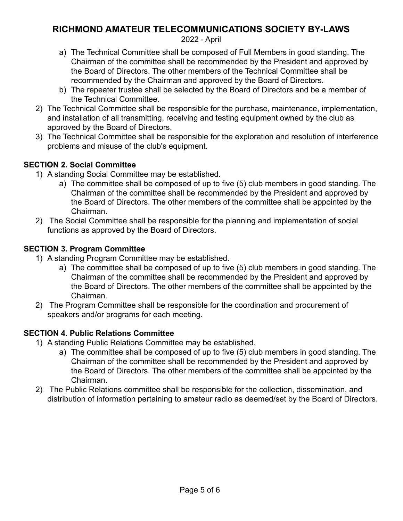2022 - April

- a) The Technical Committee shall be composed of Full Members in good standing. The Chairman of the committee shall be recommended by the President and approved by the Board of Directors. The other members of the Technical Committee shall be recommended by the Chairman and approved by the Board of Directors.
- b) The repeater trustee shall be selected by the Board of Directors and be a member of the Technical Committee.
- 2) The Technical Committee shall be responsible for the purchase, maintenance, implementation, and installation of all transmitting, receiving and testing equipment owned by the club as approved by the Board of Directors.
- 3) The Technical Committee shall be responsible for the exploration and resolution of interference problems and misuse of the club's equipment.

# **SECTION 2. Social Committee**

- 1) A standing Social Committee may be established.
	- a) The committee shall be composed of up to five (5) club members in good standing. The Chairman of the committee shall be recommended by the President and approved by the Board of Directors. The other members of the committee shall be appointed by the Chairman.
- 2) The Social Committee shall be responsible for the planning and implementation of social functions as approved by the Board of Directors.

# **SECTION 3. Program Committee**

- 1) A standing Program Committee may be established.
	- a) The committee shall be composed of up to five (5) club members in good standing. The Chairman of the committee shall be recommended by the President and approved by the Board of Directors. The other members of the committee shall be appointed by the Chairman.
- 2) The Program Committee shall be responsible for the coordination and procurement of speakers and/or programs for each meeting.

# **SECTION 4. Public Relations Committee**

- 1) A standing Public Relations Committee may be established.
	- a) The committee shall be composed of up to five (5) club members in good standing. The Chairman of the committee shall be recommended by the President and approved by the Board of Directors. The other members of the committee shall be appointed by the Chairman.
- 2) The Public Relations committee shall be responsible for the collection, dissemination, and distribution of information pertaining to amateur radio as deemed/set by the Board of Directors.